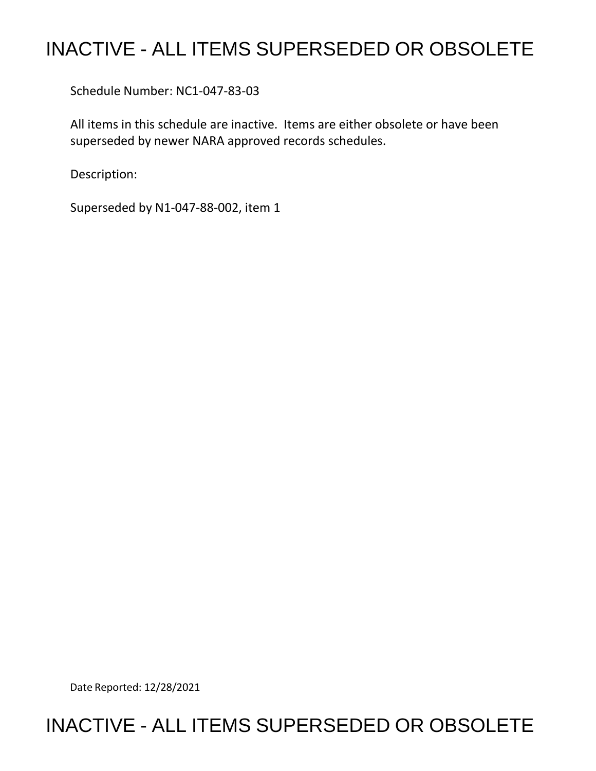## INACTIVE - ALL ITEMS SUPERSEDED OR OBSOLETE

Schedule Number: NC1-047-83-03

 All items in this schedule are inactive. Items are either obsolete or have been superseded by newer NARA approved records schedules.

Description:

Superseded by N1-047-88-002, item 1

Date Reported: 12/28/2021

## INACTIVE - ALL ITEMS SUPERSEDED OR OBSOLETE